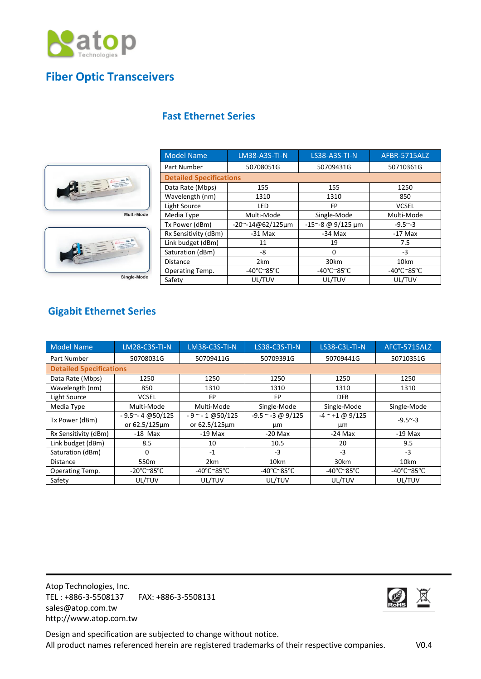

## **Fiber Optic Transceivers**

## **Fast Ethernet Series**





Single-Mode

| <b>Model Name</b>              | <b>LM38-A3S-TI-N</b>    | <b>LS38-A3S-TI-N</b>                     | AFBR-5715ALZ                             |  |  |
|--------------------------------|-------------------------|------------------------------------------|------------------------------------------|--|--|
| Part Number                    | 50708051G               | 50709431G                                | 50710361G                                |  |  |
| <b>Detailed Specifications</b> |                         |                                          |                                          |  |  |
| Data Rate (Mbps)               | 155                     | 155                                      | 1250                                     |  |  |
| Wavelength (nm)                | 1310                    | 1310                                     | 850                                      |  |  |
| Light Source                   | LED                     | FP                                       | <b>VCSEL</b>                             |  |  |
| Media Type                     | Multi-Mode              | Single-Mode                              | Multi-Mode                               |  |  |
| Tx Power (dBm)                 | $-20$ ~ $-14@62/125$ µm | -15~-8 @ 9/125 um                        | $-9.5 - 3$                               |  |  |
| Rx Sensitivity (dBm)           | $-31$ Max               | $-34$ Max                                | $-17$ Max                                |  |  |
| Link budget (dBm)              | 11                      | 19                                       | 7.5                                      |  |  |
| Saturation (dBm)               | -8                      | $\Omega$                                 | $-3$                                     |  |  |
| <b>Distance</b>                | 2km                     | 30km                                     | 10km                                     |  |  |
| Operating Temp.                | -40°C~85°C              | -40 $\degree$ C $\degree$ 85 $\degree$ C | -40 $\degree$ C $\degree$ 85 $\degree$ C |  |  |
| Safety                         | UL/TUV                  | UL/TUV                                   | UL/TUV                                   |  |  |

## **Gigabit Ethernet Series**

| <b>Model Name</b>              | <b>LM28-C3S-TI-N</b>                     | <b>LM38-C3S-TI-N</b>                     | <b>LS38-C3S-TI-N</b>                     | LS38-C3L-TI-N                            | AFCT-5715ALZ                             |  |
|--------------------------------|------------------------------------------|------------------------------------------|------------------------------------------|------------------------------------------|------------------------------------------|--|
| Part Number                    | 50708031G                                | 50709411G                                | 50709391G                                | 50709441G                                | 50710351G                                |  |
| <b>Detailed Specifications</b> |                                          |                                          |                                          |                                          |                                          |  |
| Data Rate (Mbps)               | 1250                                     | 1250                                     | 1250                                     | 1250                                     | 1250                                     |  |
| Wavelength (nm)                | 850                                      | 1310                                     | 1310                                     | 1310                                     | 1310                                     |  |
| Light Source                   | <b>VCSEL</b>                             | FP                                       | FP                                       | <b>DFB</b>                               |                                          |  |
| Media Type                     | Multi-Mode                               | Multi-Mode                               | Single-Mode                              | Single-Mode                              | Single-Mode                              |  |
| Tx Power (dBm)                 | $-9.5^{\sim} - 4 \omega$ 50/125          | $-9$ ~ $-1$ @50/125                      | $-9.5$ ~ $-3$ @ 9/125                    | $-4$ ~ +1 @ 9/125                        | $-9.5^{\sim} -3$                         |  |
|                                | or 62.5/125um                            | or 62.5/125µm                            | μm                                       | μm                                       |                                          |  |
| Rx Sensitivity (dBm)           | $-18$ Max                                | $-19$ Max                                | $-20$ Max                                | $-24$ Max                                | $-19$ Max                                |  |
| Link budget (dBm)              | 8.5                                      | 10                                       | 10.5                                     | 20                                       | 9.5                                      |  |
| Saturation (dBm)               | 0                                        | $-1$                                     | $-3$                                     | $-3$                                     | -3                                       |  |
| <b>Distance</b>                | 550 <sub>m</sub>                         | 2km                                      | 10km                                     | 30km                                     | 10km                                     |  |
| Operating Temp.                | -20 $\degree$ C $\degree$ 85 $\degree$ C | -40 $\degree$ C $\degree$ 85 $\degree$ C | -40 $\degree$ C $\degree$ 85 $\degree$ C | -40 $\degree$ C $\degree$ 85 $\degree$ C | -40 $\degree$ C $\degree$ 85 $\degree$ C |  |
| Safety                         | UL/TUV                                   | UL/TUV                                   | UL/TUV                                   | UL/TUV                                   | UL/TUV                                   |  |

Atop Technologies, Inc. TEL : +886-3-5508137 FAX: +886-3-5508131 sales@atop.com.tw http://www.atop.com.tw



Design and specification are subjected to change without notice. All product names referenced herein are registered trademarks of their respective companies. V0.4